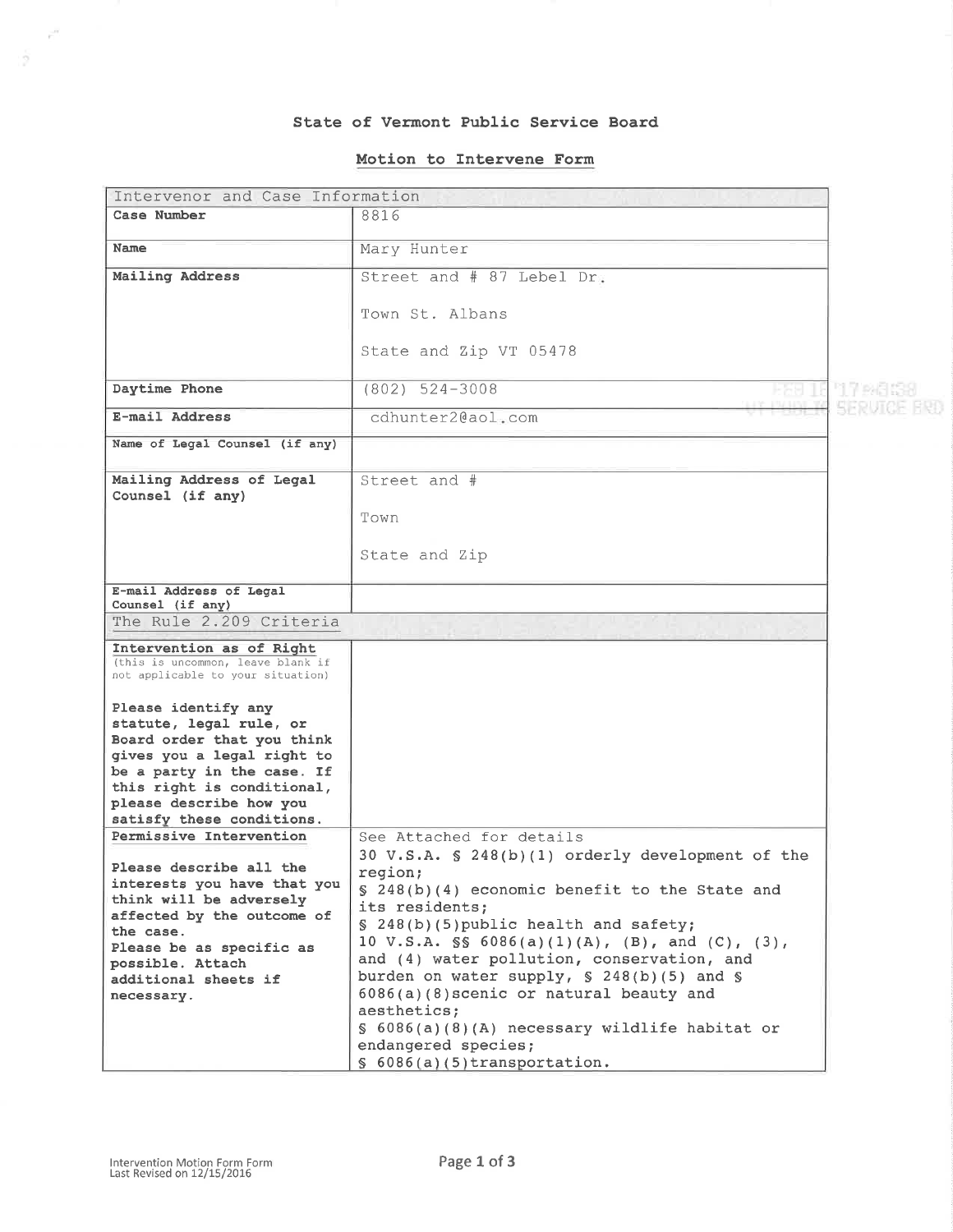## State of Vermont Public Service Board

# Motion to Intervene Form

| Intervenor and Case Information                                                                                                                                                                                                               |                                                                                                                                                                                                                                                                                                                                                                                                                                                                                                                            |          |
|-----------------------------------------------------------------------------------------------------------------------------------------------------------------------------------------------------------------------------------------------|----------------------------------------------------------------------------------------------------------------------------------------------------------------------------------------------------------------------------------------------------------------------------------------------------------------------------------------------------------------------------------------------------------------------------------------------------------------------------------------------------------------------------|----------|
| Case Number                                                                                                                                                                                                                                   | 8816                                                                                                                                                                                                                                                                                                                                                                                                                                                                                                                       |          |
| Name                                                                                                                                                                                                                                          | Mary Hunter                                                                                                                                                                                                                                                                                                                                                                                                                                                                                                                |          |
| Mailing Address                                                                                                                                                                                                                               | Street and # 87 Lebel Dr.                                                                                                                                                                                                                                                                                                                                                                                                                                                                                                  |          |
|                                                                                                                                                                                                                                               |                                                                                                                                                                                                                                                                                                                                                                                                                                                                                                                            |          |
|                                                                                                                                                                                                                                               | Town St. Albans                                                                                                                                                                                                                                                                                                                                                                                                                                                                                                            |          |
|                                                                                                                                                                                                                                               | State and Zip VT 05478                                                                                                                                                                                                                                                                                                                                                                                                                                                                                                     |          |
| Daytime Phone                                                                                                                                                                                                                                 | $(802)$ 524-3008                                                                                                                                                                                                                                                                                                                                                                                                                                                                                                           | '17 MS S |
| E-mail Address                                                                                                                                                                                                                                | cdhunter2@aol.com                                                                                                                                                                                                                                                                                                                                                                                                                                                                                                          |          |
| Name of Legal Counsel (if any)                                                                                                                                                                                                                |                                                                                                                                                                                                                                                                                                                                                                                                                                                                                                                            |          |
| Mailing Address of Legal<br>Counsel (if any)                                                                                                                                                                                                  | Street and #                                                                                                                                                                                                                                                                                                                                                                                                                                                                                                               |          |
|                                                                                                                                                                                                                                               | Town                                                                                                                                                                                                                                                                                                                                                                                                                                                                                                                       |          |
|                                                                                                                                                                                                                                               | State and Zip                                                                                                                                                                                                                                                                                                                                                                                                                                                                                                              |          |
| E-mail Address of Legal<br>Counsel (if any)                                                                                                                                                                                                   |                                                                                                                                                                                                                                                                                                                                                                                                                                                                                                                            |          |
| The Rule 2.209 Criteria                                                                                                                                                                                                                       |                                                                                                                                                                                                                                                                                                                                                                                                                                                                                                                            |          |
| Intervention as of Right<br>(this is uncommon, leave blank if<br>not applicable to your situation)                                                                                                                                            |                                                                                                                                                                                                                                                                                                                                                                                                                                                                                                                            |          |
| Please identify any<br>statute, legal rule, or<br>Board order that you think<br>gives you a legal right to<br>be a party in the case. If<br>this right is conditional,<br>please describe how you<br>satisfy these conditions.                |                                                                                                                                                                                                                                                                                                                                                                                                                                                                                                                            |          |
| Permissive Intervention<br>Please describe all the<br>interests you have that you<br>think will be adversely<br>affected by the outcome of<br>the case.<br>Please be as specific as<br>possible. Attach<br>additional sheets if<br>necessary. | See Attached for details<br>30 V.S.A. § 248(b)(1) orderly development of the<br>region;<br>§ 248(b)(4) economic benefit to the State and<br>its residents;<br>§ 248(b)(5)public health and safety;<br>10 V.S.A. $\$ 6086(a)(1)(A), (B), and (C), (3),<br>and (4) water pollution, conservation, and<br>burden on water supply, $$ 248(b)(5)$ and $$$<br>6086(a)(8) scenic or natural beauty and<br>aesthetics;<br>$\S$ 6086(a)(8)(A) necessary wildlife habitat or<br>endangered species;<br>$$6086(a)(5)$ transportation. |          |

 $\tilde{r}^H$ 

 $-\frac{c}{2}$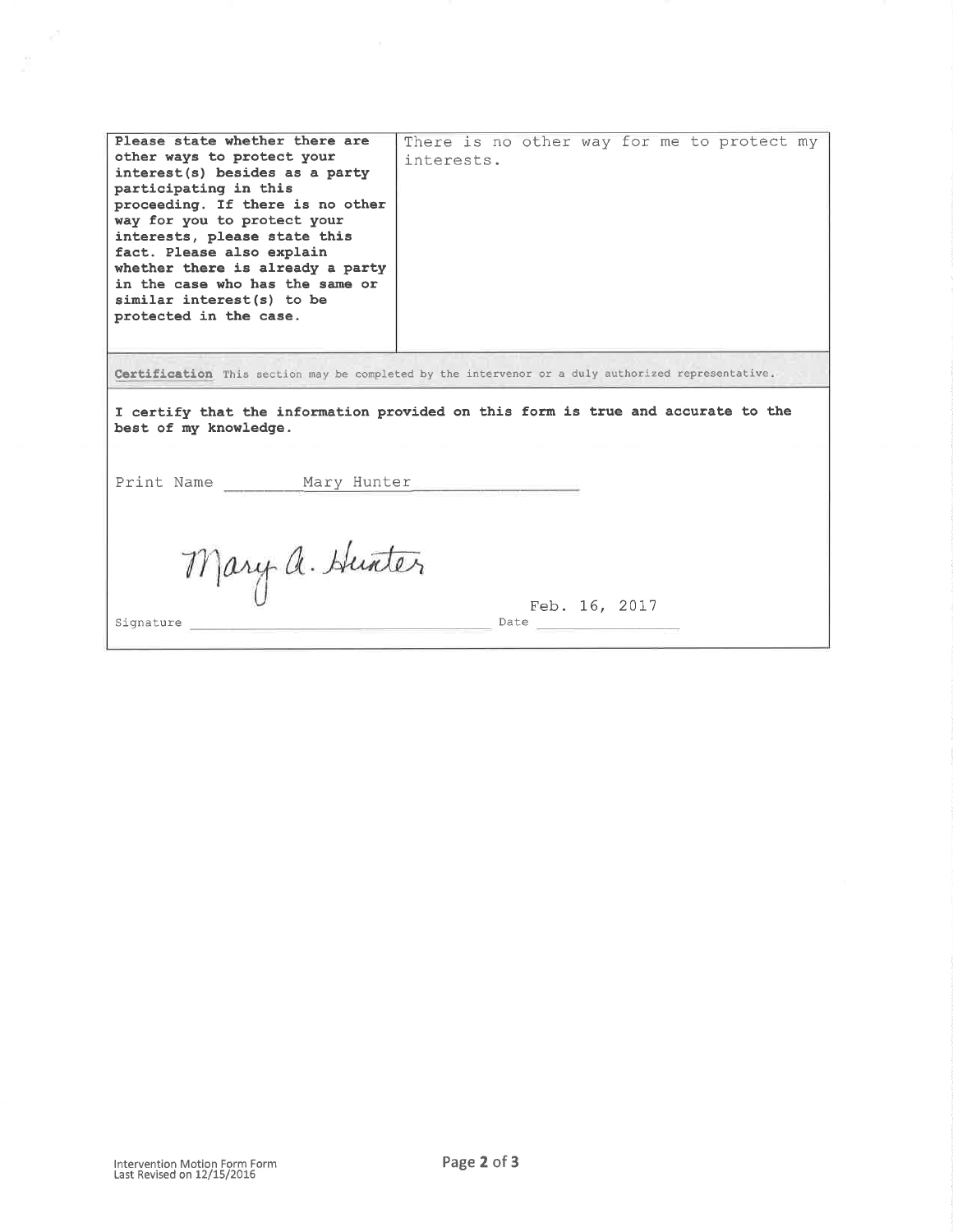| Please state whether there are<br>other ways to protect your<br>interest(s) besides as a party<br>participating in this<br>proceeding. If there is no other<br>way for you to protect your<br>interests, please state this<br>fact. Please also explain<br>whether there is already a party<br>in the case who has the same or<br>similar interest(s) to be<br>protected in the case. | There is no other way for me to protect my<br>interests. |  |
|---------------------------------------------------------------------------------------------------------------------------------------------------------------------------------------------------------------------------------------------------------------------------------------------------------------------------------------------------------------------------------------|----------------------------------------------------------|--|
| Certification This section may be completed by the intervenor or a duly authorized representative.<br>I certify that the information provided on this form is true and accurate to the<br>best of my knowledge.<br>Print Name<br>Mary Hunter                                                                                                                                          |                                                          |  |
| Mary a. Hunter<br>Signature                                                                                                                                                                                                                                                                                                                                                           | Feb. 16, 2017<br>Date                                    |  |

 $\overline{\phantom{a}}$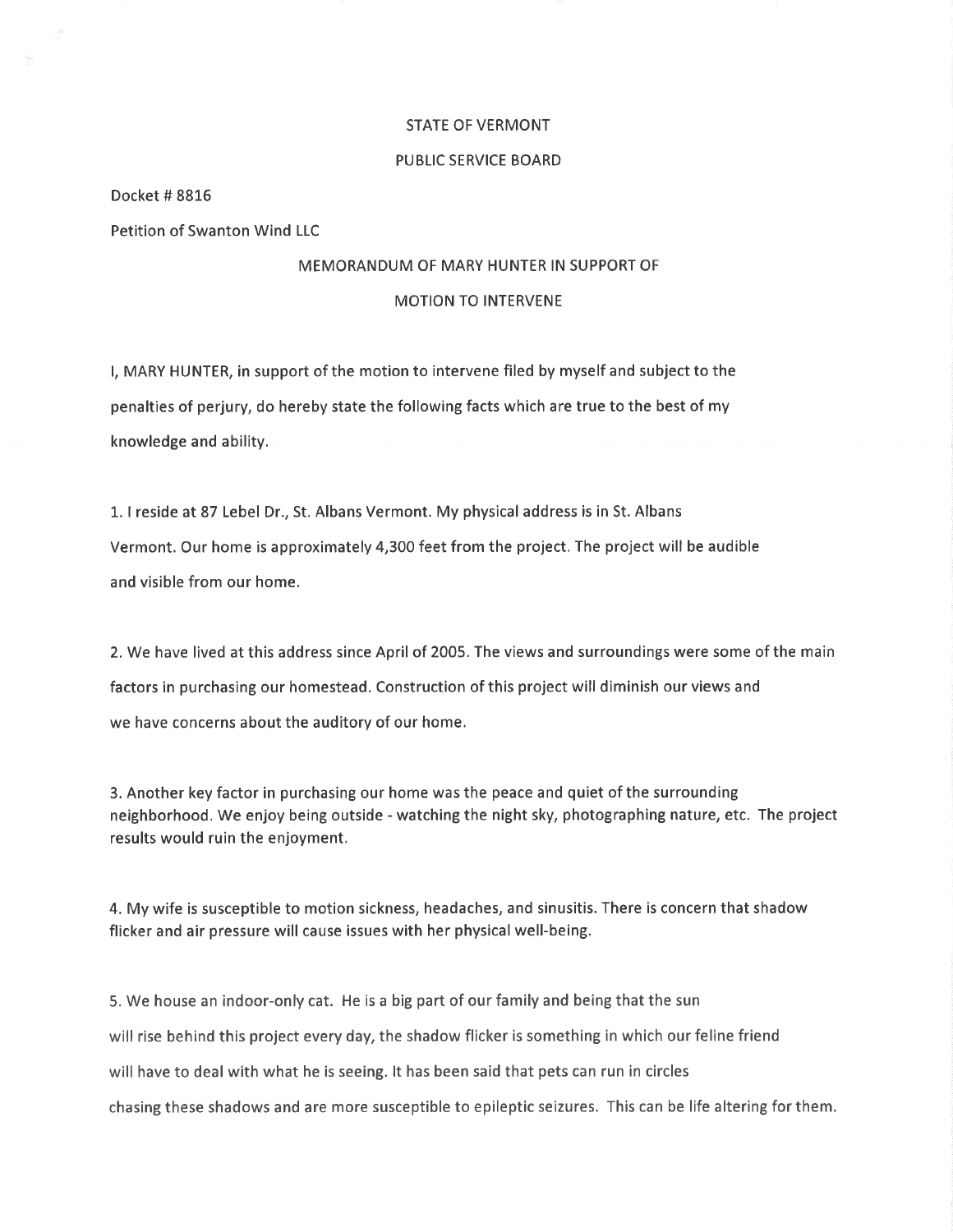#### STATE OF VERMONT

#### PUBLIC SERVICE BOARD

Docket # 88L6

Petition of Swanton Wind LLC

### MEMORANDUM OF MARY HUNTER IN SUPPORT OF

### MOTION TO INTERVENE

l, MARY HUNTER, in support of the motion to intervene filed by myself and subject to the penalties of perjury, do hereby state the following facts which are true to the best of my knowledge and ability.

1. I reside at 87 Lebel Dr., St. Albans Vermont. My physical address is in St. Albans Vermont. Our home is approximately 4,300 feet from the project. The project will be audible and visible from our home,

2. We have lived at this address since April of 2005. The views and surroundings were some of the main factors in purchasing our homestead. Construction of this project will diminish our views and we have concerns about the auditory of our home.

3. Another key factor in purchasing our home was the peace and quiet of the surrounding neighborhood. We enjoy being outside - watching the night sky, photographing nature, etc. The project results would ruin the enjoyment.

4. My wife is susceptible to motion sickness, headaches, and sinusitis. There is concern that shadow flicker and air pressure will cause issues with her physical well-being.

5. We house an indoor-only cat. He is a big part of our family and being that the sun will rise behind this project every day, the shadow flicker is something in which our feline friend will have to deal with what he is seeing. lt has been said that pets can run in circles chasing these shadows and are more susceptible to epileptic seizures. This can be life altering for them.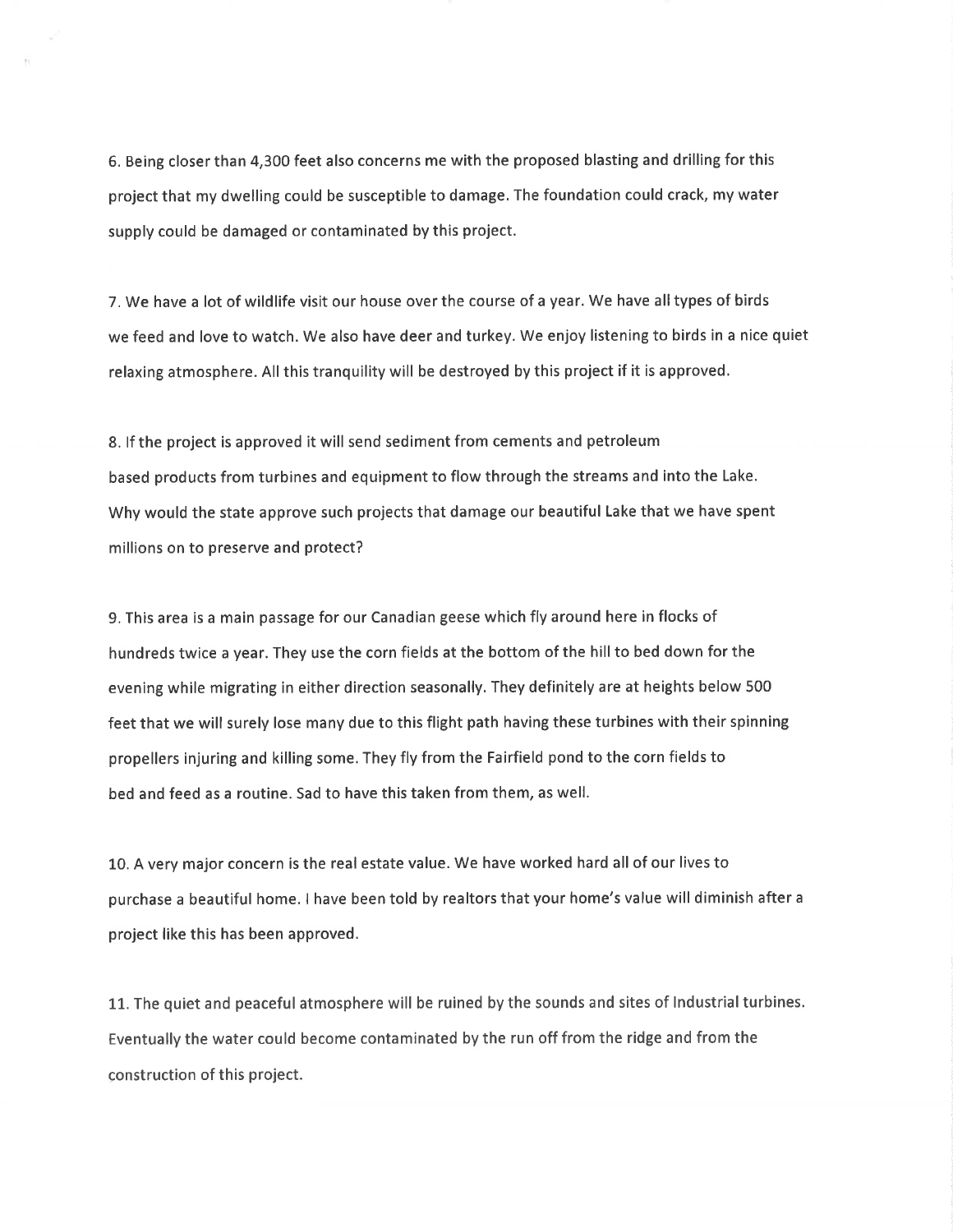6. Being closer than 4,300 feet also concerns me with the proposed blasting and drilling for this project that my dwelling could be susceptible to damage. The foundation could crack, my water supply could be damaged or contaminated by this project.

7. We have a lot of wildlife visit our house over the course of a year. We have alltypes of birds we feed and love to watch. We also have deer and turkey. We enjoy listening to birds in a nice quiet relaxing atmosphere. All this tranquility will be destroyed by this project if it is approved.

8. lf the project is approved it will send sediment from cements and petroleum based products from turbines and equipment to flow through the streams and into the Lake. Why would the state approve such projects that damage our beautiful Lake that we have spent millions on to preserve and protect?

9. This area is a main passage for our Canadian geese which fly around here in flocks of hundreds twice a year. They use the corn fields at the bottom of the hill to bed down for the evening while migrating in either direction seasonally. They definitely are at heights below 500 feet that we will surely lose many due to this flight path having these turbines with their spinning propellers injuring and killing some. They fly from the Fairfield pond to the corn fields to bed and feed as a routine. Sad to have this taken from them, as well.

10. A very major concern is the real estate value. We have worked hard all of our lives to purchase a beautiful home. I have been told by realtors that your home's value will diminish after <sup>a</sup> project like this has been approved.

11. The quiet and peaceful atmosphere will be ruined by the sounds and sites of lndustrial turbines. Eventually the water could become contaminated by the run off from the ridge and from the construction of this project.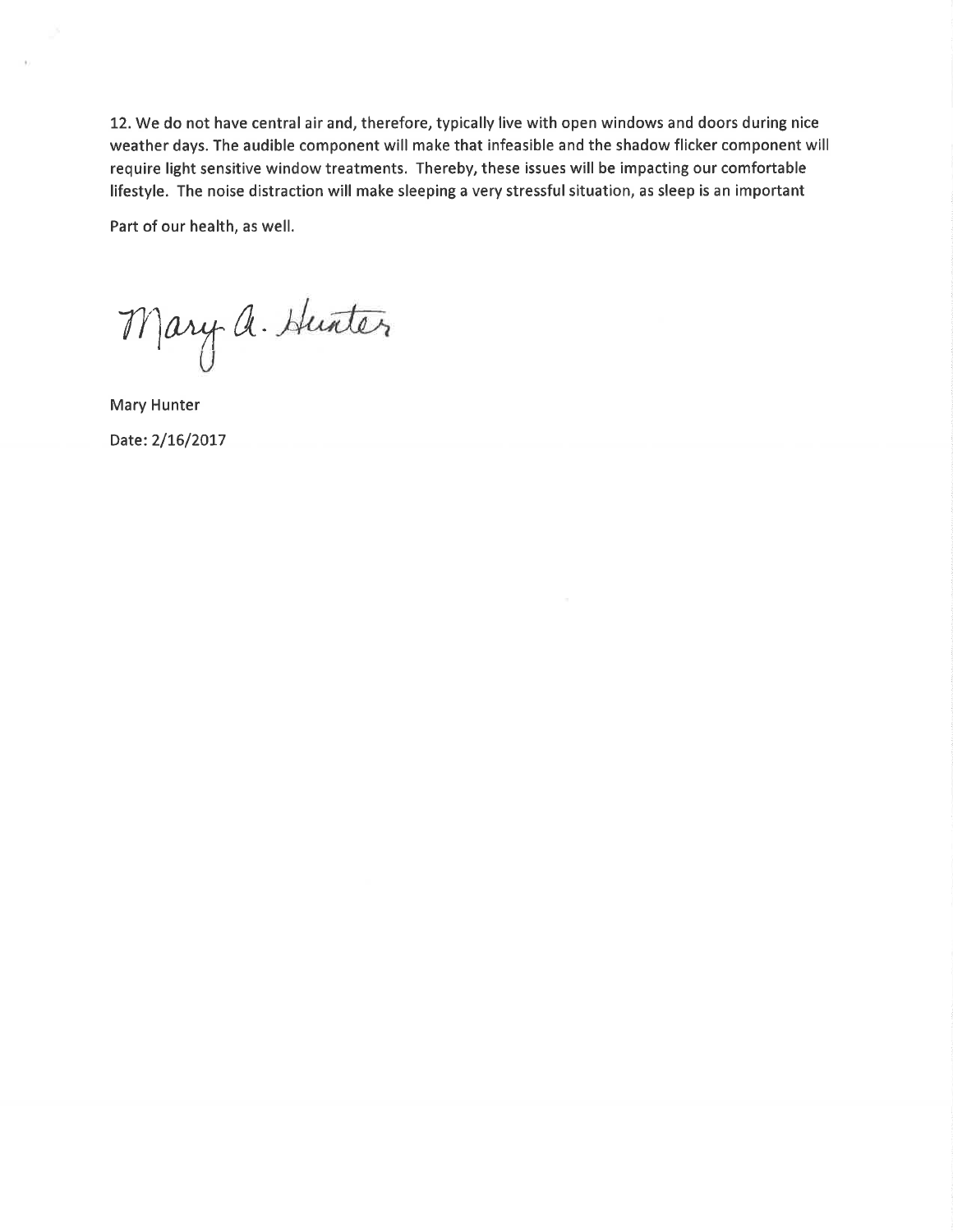L2. We do not have central air and, therefore, typically live with open windows and doors during nice weather days. The audible component will make that infeasible and the shadow flicker component will require light sensitive window treatments. Thereby, these issues will be impacting our comfortable lifestyle. The noise distraction will make sleeping a very stressful situation, as sleep is an important

Part of our health, as well.

Mary a. Hunter

Mary Hunter Date: 2/16/2017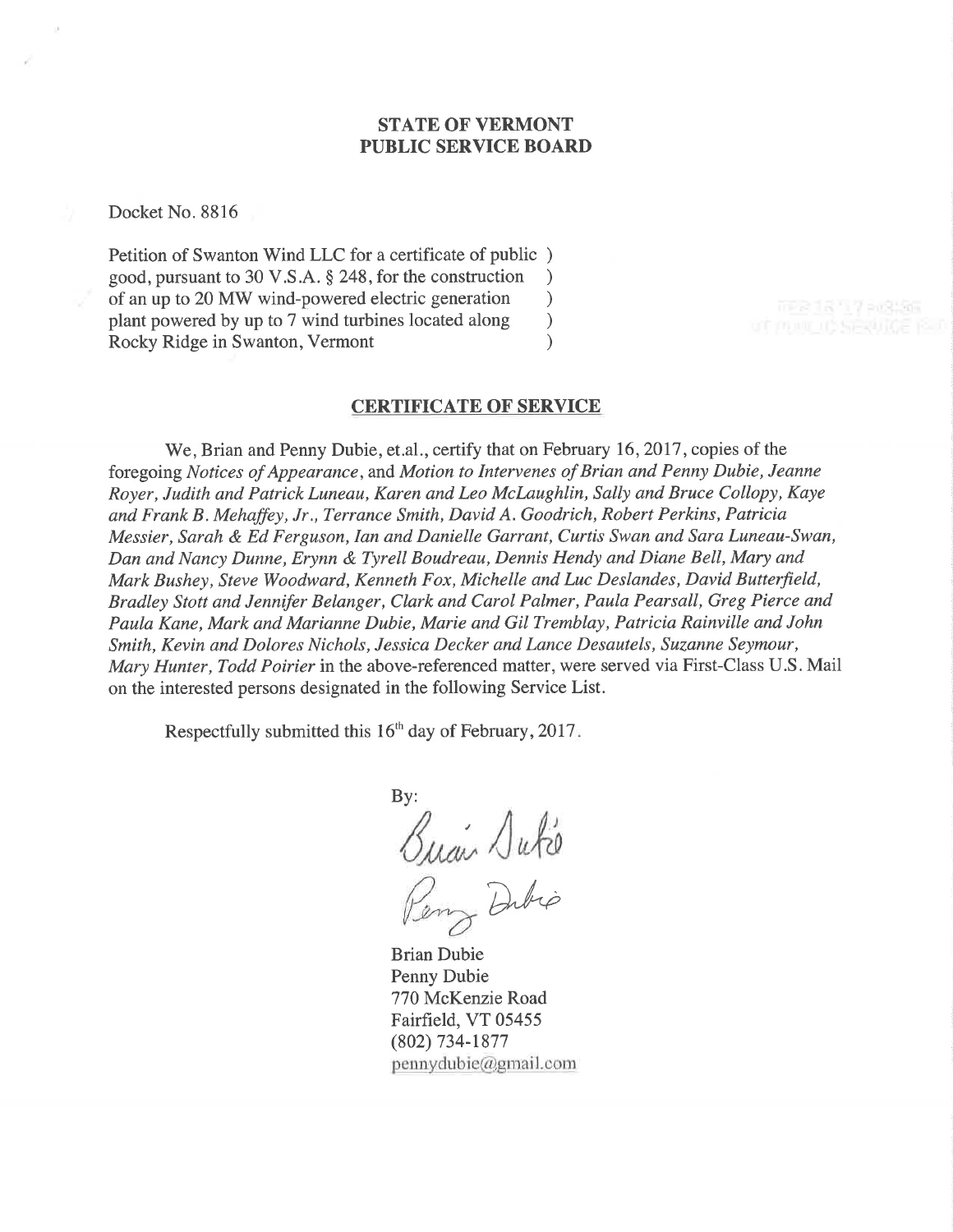# STATE OF VERMONT PUBLIC SERVICE BOARD

Docket No. 8816

Petition of Swanton Wind LLC for a certificate of public ) good, pursuant to 30 V.S.A. \$ 248, for the construction ) of an up to 20 MW wind-powered electric generation <br>plant powered by up to 7 wind turbines located along ) plant powered by up to 7 wind turbines located along ) Rocky Ridge in Swanton, Vermont (1988)

# CERTIFICATE OF SERVICE

We, Brian and Penny Dubie, et.al., certify that on February 16, 2017, copies of the foregoing Notices of Appearance, and Motion to Intervenes of Brian and Penny Dubie, Jeanne Royer, Judith and Patrick Luneau, Karen and Leo Mclaughlin, Sally and Bruce CoIIopy, Kaye and Frank B . Mehaffey, Jr., Terrance Smith, David A. Goodrich, Robert Perkins, Patricia Messier, Sarah & Ed Ferguson, Ian and Danielle Garrant, Curtis Swan and Sara Luneau-Swan, Dan and Nancy Dunne, Erynn & Tyrell Boudreau, Dennis Hendy and Diane Bell, Mary and Mark Bushey, Steve Woodward, Kenneth Fox, Michelle and Luc Deslandes, David Butterfield, Bradley Stott and Jennifer Belanger, Clark and Carol Palmer, Paula Pearsall, Greg Pierce ønd Paula Kane, Mark and Marianne Dubie, Marie and Gil Tremblay, Patricia Rainville and John Smith, Kevin and Dolores Nichols, Jessica Decker and Lance Desautels, Suzanne Seymour, Mary Hunter, Todd Poirier in the above-referenced matter, were served via First-Class U.S. Mail on the interested persons designated in the following Service List.

Respectfully submitted this  $16<sup>th</sup>$  day of February, 2017.

By:  $\bigwedge u\not\uparrow v$ Dibio

Brian Dubie Penny Dubie 770 McKenzie Road Fairfield, VT 05455 (802) 734-1877  $pennydubic@gmail.com$